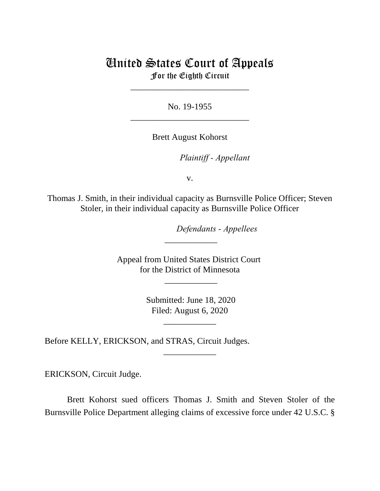# United States Court of Appeals For the Eighth Circuit

\_\_\_\_\_\_\_\_\_\_\_\_\_\_\_\_\_\_\_\_\_\_\_\_\_\_\_

No. 19-1955 \_\_\_\_\_\_\_\_\_\_\_\_\_\_\_\_\_\_\_\_\_\_\_\_\_\_\_

Brett August Kohorst

 *Plaintiff - Appellant*

v.

Thomas J. Smith, in their individual capacity as Burnsville Police Officer; Steven Stoler, in their individual capacity as Burnsville Police Officer

 *Defendants - Appellees*

Appeal from United States District Court for the District of Minnesota

\_\_\_\_\_\_\_\_\_\_\_\_

\_\_\_\_\_\_\_\_\_\_\_\_

 Submitted: June 18, 2020 Filed: August 6, 2020

\_\_\_\_\_\_\_\_\_\_\_\_

\_\_\_\_\_\_\_\_\_\_\_\_

Before KELLY, ERICKSON, and STRAS, Circuit Judges.

ERICKSON, Circuit Judge.

Brett Kohorst sued officers Thomas J. Smith and Steven Stoler of the Burnsville Police Department alleging claims of excessive force under 42 U.S.C. §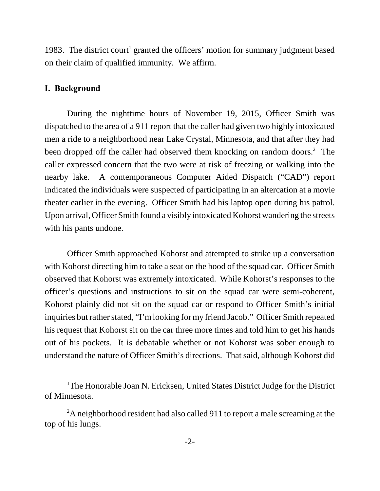1983. The district court<sup>1</sup> granted the officers' motion for summary judgment based on their claim of qualified immunity. We affirm.

# **I. Background**

During the nighttime hours of November 19, 2015, Officer Smith was dispatched to the area of a 911 report that the caller had given two highly intoxicated men a ride to a neighborhood near Lake Crystal, Minnesota, and that after they had been dropped off the caller had observed them knocking on random doors.<sup>2</sup> The caller expressed concern that the two were at risk of freezing or walking into the nearby lake. A contemporaneous Computer Aided Dispatch ("CAD") report indicated the individuals were suspected of participating in an altercation at a movie theater earlier in the evening. Officer Smith had his laptop open during his patrol. Upon arrival, Officer Smith found a visibly intoxicated Kohorst wandering the streets with his pants undone.

Officer Smith approached Kohorst and attempted to strike up a conversation with Kohorst directing him to take a seat on the hood of the squad car. Officer Smith observed that Kohorst was extremely intoxicated. While Kohorst's responses to the officer's questions and instructions to sit on the squad car were semi-coherent, Kohorst plainly did not sit on the squad car or respond to Officer Smith's initial inquiries but rather stated, "I'm looking for my friend Jacob." Officer Smith repeated his request that Kohorst sit on the car three more times and told him to get his hands out of his pockets. It is debatable whether or not Kohorst was sober enough to understand the nature of Officer Smith's directions. That said, although Kohorst did

<sup>&</sup>lt;sup>1</sup>The Honorable Joan N. Ericksen, United States District Judge for the District of Minnesota.

<sup>&</sup>lt;sup>2</sup>A neighborhood resident had also called 911 to report a male screaming at the top of his lungs.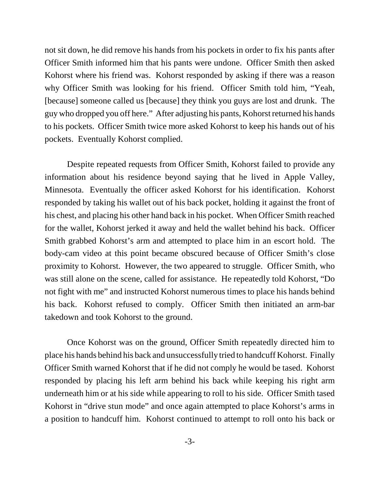not sit down, he did remove his hands from his pockets in order to fix his pants after Officer Smith informed him that his pants were undone. Officer Smith then asked Kohorst where his friend was. Kohorst responded by asking if there was a reason why Officer Smith was looking for his friend. Officer Smith told him, "Yeah, [because] someone called us [because] they think you guys are lost and drunk. The guy who dropped you off here." After adjusting his pants, Kohorst returned his hands to his pockets. Officer Smith twice more asked Kohorst to keep his hands out of his pockets. Eventually Kohorst complied.

Despite repeated requests from Officer Smith, Kohorst failed to provide any information about his residence beyond saying that he lived in Apple Valley, Minnesota. Eventually the officer asked Kohorst for his identification. Kohorst responded by taking his wallet out of his back pocket, holding it against the front of his chest, and placing his other hand back in his pocket. When Officer Smith reached for the wallet, Kohorst jerked it away and held the wallet behind his back. Officer Smith grabbed Kohorst's arm and attempted to place him in an escort hold. The body-cam video at this point became obscured because of Officer Smith's close proximity to Kohorst. However, the two appeared to struggle. Officer Smith, who was still alone on the scene, called for assistance. He repeatedly told Kohorst, "Do not fight with me" and instructed Kohorst numerous times to place his hands behind his back. Kohorst refused to comply. Officer Smith then initiated an arm-bar takedown and took Kohorst to the ground.

Once Kohorst was on the ground, Officer Smith repeatedly directed him to place his hands behind his back and unsuccessfully tried to handcuff Kohorst. Finally Officer Smith warned Kohorst that if he did not comply he would be tased. Kohorst responded by placing his left arm behind his back while keeping his right arm underneath him or at his side while appearing to roll to his side. Officer Smith tased Kohorst in "drive stun mode" and once again attempted to place Kohorst's arms in a position to handcuff him. Kohorst continued to attempt to roll onto his back or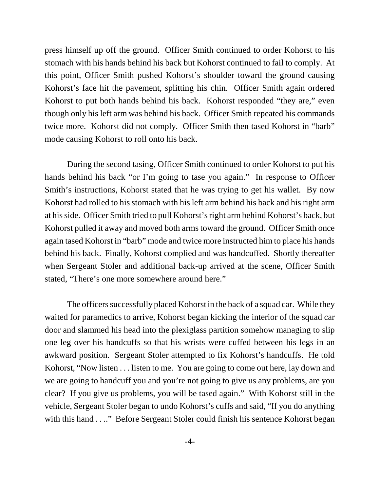press himself up off the ground. Officer Smith continued to order Kohorst to his stomach with his hands behind his back but Kohorst continued to fail to comply. At this point, Officer Smith pushed Kohorst's shoulder toward the ground causing Kohorst's face hit the pavement, splitting his chin. Officer Smith again ordered Kohorst to put both hands behind his back. Kohorst responded "they are," even though only his left arm was behind his back. Officer Smith repeated his commands twice more. Kohorst did not comply. Officer Smith then tased Kohorst in "barb" mode causing Kohorst to roll onto his back.

During the second tasing, Officer Smith continued to order Kohorst to put his hands behind his back "or I'm going to tase you again." In response to Officer Smith's instructions, Kohorst stated that he was trying to get his wallet. By now Kohorst had rolled to his stomach with his left arm behind his back and his right arm at his side. Officer Smith tried to pull Kohorst's right arm behind Kohorst's back, but Kohorst pulled it away and moved both arms toward the ground. Officer Smith once again tased Kohorst in "barb" mode and twice more instructed him to place his hands behind his back. Finally, Kohorst complied and was handcuffed. Shortly thereafter when Sergeant Stoler and additional back-up arrived at the scene, Officer Smith stated, "There's one more somewhere around here."

The officers successfully placed Kohorst in the back of a squad car. While they waited for paramedics to arrive, Kohorst began kicking the interior of the squad car door and slammed his head into the plexiglass partition somehow managing to slip one leg over his handcuffs so that his wrists were cuffed between his legs in an awkward position. Sergeant Stoler attempted to fix Kohorst's handcuffs. He told Kohorst, "Now listen . . . listen to me. You are going to come out here, lay down and we are going to handcuff you and you're not going to give us any problems, are you clear? If you give us problems, you will be tased again." With Kohorst still in the vehicle, Sergeant Stoler began to undo Kohorst's cuffs and said, "If you do anything with this hand . . .." Before Sergeant Stoler could finish his sentence Kohorst began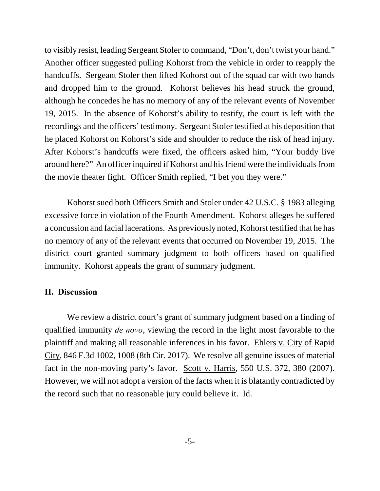to visibly resist, leading Sergeant Stoler to command, "Don't, don't twist your hand." Another officer suggested pulling Kohorst from the vehicle in order to reapply the handcuffs. Sergeant Stoler then lifted Kohorst out of the squad car with two hands and dropped him to the ground. Kohorst believes his head struck the ground, although he concedes he has no memory of any of the relevant events of November 19, 2015. In the absence of Kohorst's ability to testify, the court is left with the recordings and the officers' testimony. Sergeant Stoler testified at his deposition that he placed Kohorst on Kohorst's side and shoulder to reduce the risk of head injury. After Kohorst's handcuffs were fixed, the officers asked him, "Your buddy live around here?" An officer inquired if Kohorst and his friend were the individuals from the movie theater fight. Officer Smith replied, "I bet you they were."

Kohorst sued both Officers Smith and Stoler under 42 U.S.C. § 1983 alleging excessive force in violation of the Fourth Amendment. Kohorst alleges he suffered a concussion and facial lacerations. As previously noted, Kohorst testified that he has no memory of any of the relevant events that occurred on November 19, 2015. The district court granted summary judgment to both officers based on qualified immunity. Kohorst appeals the grant of summary judgment.

## **II. Discussion**

We review a district court's grant of summary judgment based on a finding of qualified immunity *de novo*, viewing the record in the light most favorable to the plaintiff and making all reasonable inferences in his favor. Ehlers v. City of Rapid City, 846 F.3d 1002, 1008 (8th Cir. 2017). We resolve all genuine issues of material fact in the non-moving party's favor. Scott v. Harris, 550 U.S. 372, 380 (2007). However, we will not adopt a version of the facts when it is blatantly contradicted by the record such that no reasonable jury could believe it. Id.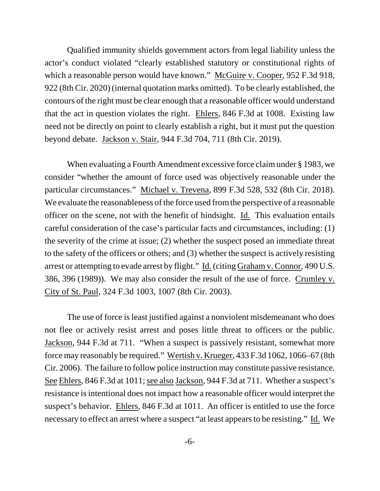Qualified immunity shields government actors from legal liability unless the actor's conduct violated "clearly established statutory or constitutional rights of which a reasonable person would have known." McGuire v. Cooper, 952 F.3d 918, 922 (8th Cir. 2020) (internal quotation marks omitted). To be clearly established, the contours of the right must be clear enough that a reasonable officer would understand that the act in question violates the right. Ehlers, 846 F.3d at 1008. Existing law need not be directly on point to clearly establish a right, but it must put the question beyond debate. Jackson v. Stair, 944 F.3d 704, 711 (8th Cir. 2019).

When evaluating a Fourth Amendment excessive force claim under § 1983, we consider "whether the amount of force used was objectively reasonable under the particular circumstances." Michael v. Trevena, 899 F.3d 528, 532 (8th Cir. 2018). We evaluate the reasonableness of the force used from the perspective of a reasonable officer on the scene, not with the benefit of hindsight. Id. This evaluation entails careful consideration of the case's particular facts and circumstances, including: (1) the severity of the crime at issue; (2) whether the suspect posed an immediate threat to the safety of the officers or others; and (3) whether the suspect is actively resisting arrest or attempting to evade arrest by flight." Id. (citing Graham v. Connor, 490 U.S. 386, 396 (1989)). We may also consider the result of the use of force. Crumley v. City of St. Paul, 324 F.3d 1003, 1007 (8th Cir. 2003).

The use of force is least justified against a nonviolent misdemeanant who does not flee or actively resist arrest and poses little threat to officers or the public. Jackson, 944 F.3d at 711. "When a suspect is passively resistant, somewhat more force may reasonably be required." Wertish v. Krueger, 433 F.3d 1062, 1066–67 (8th Cir. 2006). The failure to follow police instruction may constitute passive resistance. See Ehlers, 846 F.3d at 1011; see also Jackson, 944 F.3d at 711. Whether a suspect's resistance is intentional does not impact how a reasonable officer would interpret the suspect's behavior. Ehlers, 846 F.3d at 1011. An officer is entitled to use the force necessary to effect an arrest where a suspect "at least appears to be resisting." Id. We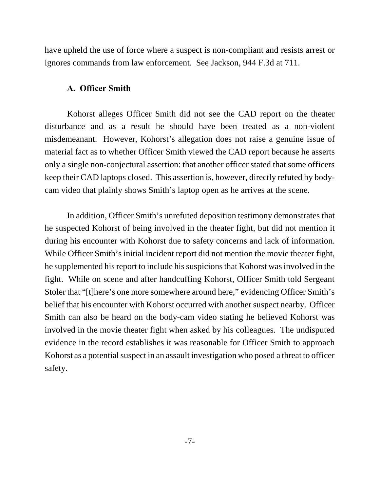have upheld the use of force where a suspect is non-compliant and resists arrest or ignores commands from law enforcement. See Jackson, 944 F.3d at 711.

# **A. Officer Smith**

Kohorst alleges Officer Smith did not see the CAD report on the theater disturbance and as a result he should have been treated as a non-violent misdemeanant. However, Kohorst's allegation does not raise a genuine issue of material fact as to whether Officer Smith viewed the CAD report because he asserts only a single non-conjectural assertion: that another officer stated that some officers keep their CAD laptops closed. This assertion is, however, directly refuted by bodycam video that plainly shows Smith's laptop open as he arrives at the scene.

In addition, Officer Smith's unrefuted deposition testimony demonstrates that he suspected Kohorst of being involved in the theater fight, but did not mention it during his encounter with Kohorst due to safety concerns and lack of information. While Officer Smith's initial incident report did not mention the movie theater fight, he supplemented his report to include his suspicions that Kohorst was involved in the fight. While on scene and after handcuffing Kohorst, Officer Smith told Sergeant Stoler that "[t]here's one more somewhere around here," evidencing Officer Smith's belief that his encounter with Kohorst occurred with another suspect nearby. Officer Smith can also be heard on the body-cam video stating he believed Kohorst was involved in the movie theater fight when asked by his colleagues. The undisputed evidence in the record establishes it was reasonable for Officer Smith to approach Kohorst as a potential suspect in an assault investigation who posed a threat to officer safety.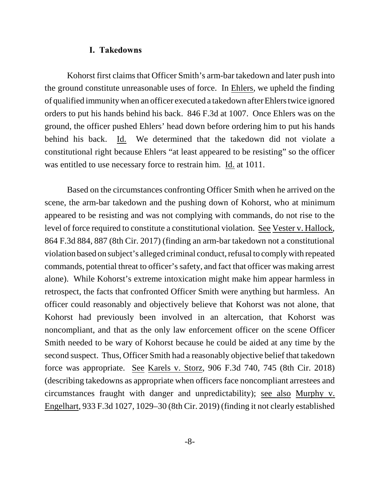#### **I. Takedowns**

Kohorst first claims that Officer Smith's arm-bar takedown and later push into the ground constitute unreasonable uses of force. In Ehlers, we upheld the finding of qualified immunity when an officer executed a takedown after Ehlers twice ignored orders to put his hands behind his back. 846 F.3d at 1007. Once Ehlers was on the ground, the officer pushed Ehlers' head down before ordering him to put his hands behind his back. Id. We determined that the takedown did not violate a constitutional right because Ehlers "at least appeared to be resisting" so the officer was entitled to use necessary force to restrain him. Id. at 1011.

Based on the circumstances confronting Officer Smith when he arrived on the scene, the arm-bar takedown and the pushing down of Kohorst, who at minimum appeared to be resisting and was not complying with commands, do not rise to the level of force required to constitute a constitutional violation. See Vester v. Hallock, 864 F.3d 884, 887 (8th Cir. 2017) (finding an arm-bar takedown not a constitutional violation based on subject's alleged criminal conduct, refusal to comply with repeated commands, potential threat to officer's safety, and fact that officer was making arrest alone). While Kohorst's extreme intoxication might make him appear harmless in retrospect, the facts that confronted Officer Smith were anything but harmless. An officer could reasonably and objectively believe that Kohorst was not alone, that Kohorst had previously been involved in an altercation, that Kohorst was noncompliant, and that as the only law enforcement officer on the scene Officer Smith needed to be wary of Kohorst because he could be aided at any time by the second suspect. Thus, Officer Smith had a reasonably objective belief that takedown force was appropriate. See Karels v. Storz, 906 F.3d 740, 745 (8th Cir. 2018) (describing takedowns as appropriate when officers face noncompliant arrestees and circumstances fraught with danger and unpredictability); see also Murphy v. Engelhart, 933 F.3d 1027, 1029–30 (8th Cir. 2019) (finding it not clearly established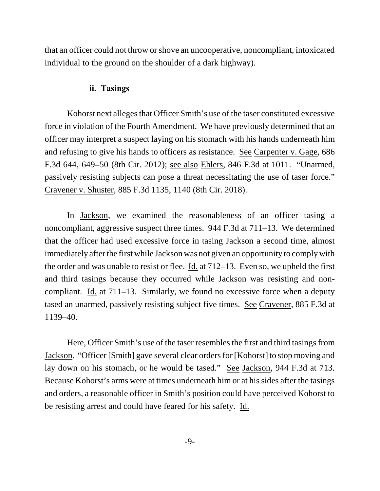that an officer could not throw or shove an uncooperative, noncompliant, intoxicated individual to the ground on the shoulder of a dark highway).

# **ii. Tasings**

Kohorst next alleges that Officer Smith's use of the taser constituted excessive force in violation of the Fourth Amendment. We have previously determined that an officer may interpret a suspect laying on his stomach with his hands underneath him and refusing to give his hands to officers as resistance. See Carpenter v. Gage, 686 F.3d 644, 649–50 (8th Cir. 2012); see also Ehlers, 846 F.3d at 1011. "Unarmed, passively resisting subjects can pose a threat necessitating the use of taser force." Cravener v. Shuster, 885 F.3d 1135, 1140 (8th Cir. 2018).

In Jackson, we examined the reasonableness of an officer tasing a noncompliant, aggressive suspect three times. 944 F.3d at 711–13. We determined that the officer had used excessive force in tasing Jackson a second time, almost immediately after the first while Jackson was not given an opportunity to comply with the order and was unable to resist or flee. Id. at 712–13. Even so, we upheld the first and third tasings because they occurred while Jackson was resisting and noncompliant. Id. at 711–13. Similarly, we found no excessive force when a deputy tased an unarmed, passively resisting subject five times. See Cravener, 885 F.3d at 1139–40.

Here, Officer Smith's use of the taser resembles the first and third tasings from Jackson. "Officer [Smith] gave several clear orders for [Kohorst] to stop moving and lay down on his stomach, or he would be tased." See Jackson, 944 F.3d at 713. Because Kohorst's arms were at times underneath him or at his sides after the tasings and orders, a reasonable officer in Smith's position could have perceived Kohorst to be resisting arrest and could have feared for his safety. Id.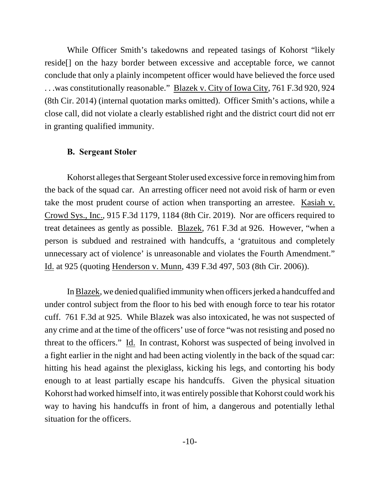While Officer Smith's takedowns and repeated tasings of Kohorst "likely reside[] on the hazy border between excessive and acceptable force, we cannot conclude that only a plainly incompetent officer would have believed the force used . . .was constitutionally reasonable." Blazek v. City of Iowa City, 761 F.3d 920, 924 (8th Cir. 2014) (internal quotation marks omitted). Officer Smith's actions, while a close call, did not violate a clearly established right and the district court did not err in granting qualified immunity.

### **B. Sergeant Stoler**

Kohorst alleges that Sergeant Stoler used excessive force in removing him from the back of the squad car. An arresting officer need not avoid risk of harm or even take the most prudent course of action when transporting an arrestee. Kasiah v. Crowd Sys., Inc., 915 F.3d 1179, 1184 (8th Cir. 2019). Nor are officers required to treat detainees as gently as possible. Blazek, 761 F.3d at 926. However, "when a person is subdued and restrained with handcuffs, a 'gratuitous and completely unnecessary act of violence' is unreasonable and violates the Fourth Amendment." Id. at 925 (quoting Henderson v. Munn, 439 F.3d 497, 503 (8th Cir. 2006)).

In Blazek, we denied qualified immunity when officers jerked a handcuffed and under control subject from the floor to his bed with enough force to tear his rotator cuff. 761 F.3d at 925. While Blazek was also intoxicated, he was not suspected of any crime and at the time of the officers' use of force "was not resisting and posed no threat to the officers." Id. In contrast, Kohorst was suspected of being involved in a fight earlier in the night and had been acting violently in the back of the squad car: hitting his head against the plexiglass, kicking his legs, and contorting his body enough to at least partially escape his handcuffs. Given the physical situation Kohorst had worked himself into, it was entirely possible that Kohorst could work his way to having his handcuffs in front of him, a dangerous and potentially lethal situation for the officers.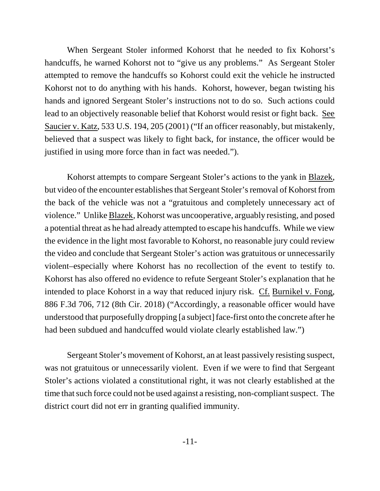When Sergeant Stoler informed Kohorst that he needed to fix Kohorst's handcuffs, he warned Kohorst not to "give us any problems." As Sergeant Stoler attempted to remove the handcuffs so Kohorst could exit the vehicle he instructed Kohorst not to do anything with his hands. Kohorst, however, began twisting his hands and ignored Sergeant Stoler's instructions not to do so. Such actions could lead to an objectively reasonable belief that Kohorst would resist or fight back. See Saucier v. Katz, 533 U.S. 194, 205 (2001) ("If an officer reasonably, but mistakenly, believed that a suspect was likely to fight back, for instance, the officer would be justified in using more force than in fact was needed.").

Kohorst attempts to compare Sergeant Stoler's actions to the yank in Blazek, but video of the encounter establishes that Sergeant Stoler's removal of Kohorst from the back of the vehicle was not a "gratuitous and completely unnecessary act of violence." Unlike Blazek, Kohorst was uncooperative, arguably resisting, and posed a potential threat as he had already attempted to escape his handcuffs. While we view the evidence in the light most favorable to Kohorst, no reasonable jury could review the video and conclude that Sergeant Stoler's action was gratuitous or unnecessarily violent–especially where Kohorst has no recollection of the event to testify to. Kohorst has also offered no evidence to refute Sergeant Stoler's explanation that he intended to place Kohorst in a way that reduced injury risk. Cf. Burnikel v. Fong, 886 F.3d 706, 712 (8th Cir. 2018) ("Accordingly, a reasonable officer would have understood that purposefully dropping [a subject] face-first onto the concrete after he had been subdued and handcuffed would violate clearly established law.")

Sergeant Stoler's movement of Kohorst, an at least passively resisting suspect, was not gratuitous or unnecessarily violent. Even if we were to find that Sergeant Stoler's actions violated a constitutional right, it was not clearly established at the time that such force could not be used against a resisting, non-compliant suspect. The district court did not err in granting qualified immunity.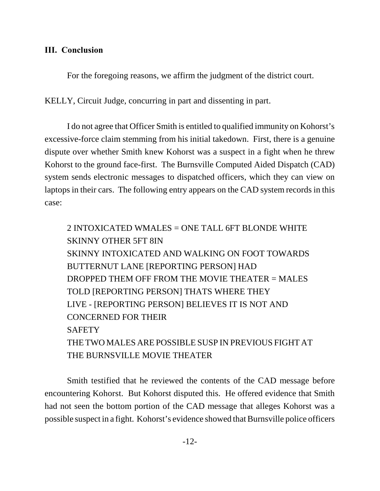# **III. Conclusion**

For the foregoing reasons, we affirm the judgment of the district court.

KELLY, Circuit Judge, concurring in part and dissenting in part.

I do not agree that Officer Smith is entitled to qualified immunity on Kohorst's excessive-force claim stemming from his initial takedown. First, there is a genuine dispute over whether Smith knew Kohorst was a suspect in a fight when he threw Kohorst to the ground face-first. The Burnsville Computed Aided Dispatch (CAD) system sends electronic messages to dispatched officers, which they can view on laptops in their cars. The following entry appears on the CAD system records in this case:

2 INTOXICATED WMALES = ONE TALL 6FT BLONDE WHITE SKINNY OTHER 5FT 8IN SKINNY INTOXICATED AND WALKING ON FOOT TOWARDS BUTTERNUT LANE [REPORTING PERSON] HAD DROPPED THEM OFF FROM THE MOVIE THEATER = MALES TOLD [REPORTING PERSON] THATS WHERE THEY LIVE - [REPORTING PERSON] BELIEVES IT IS NOT AND CONCERNED FOR THEIR **SAFETY** THE TWO MALES ARE POSSIBLE SUSP IN PREVIOUS FIGHT AT THE BURNSVILLE MOVIE THEATER

Smith testified that he reviewed the contents of the CAD message before encountering Kohorst. But Kohorst disputed this. He offered evidence that Smith had not seen the bottom portion of the CAD message that alleges Kohorst was a possible suspect in a fight. Kohorst's evidence showed that Burnsville police officers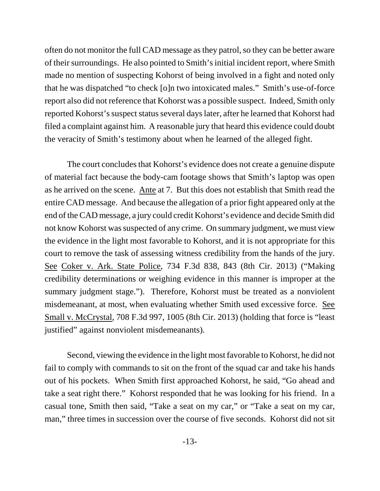often do not monitor the full CAD message as they patrol, so they can be better aware of their surroundings. He also pointed to Smith's initial incident report, where Smith made no mention of suspecting Kohorst of being involved in a fight and noted only that he was dispatched "to check [o]n two intoxicated males." Smith's use-of-force report also did not reference that Kohorst was a possible suspect. Indeed, Smith only reported Kohorst's suspect status several days later, after he learned that Kohorst had filed a complaint against him. A reasonable jury that heard this evidence could doubt the veracity of Smith's testimony about when he learned of the alleged fight.

The court concludes that Kohorst's evidence does not create a genuine dispute of material fact because the body-cam footage shows that Smith's laptop was open as he arrived on the scene. Ante at 7. But this does not establish that Smith read the entire CAD message. And because the allegation of a prior fight appeared only at the end of the CAD message, a jury could credit Kohorst's evidence and decide Smith did not know Kohorst was suspected of any crime. On summary judgment, we must view the evidence in the light most favorable to Kohorst, and it is not appropriate for this court to remove the task of assessing witness credibility from the hands of the jury. See Coker v. Ark. State Police, 734 F.3d 838, 843 (8th Cir. 2013) ("Making credibility determinations or weighing evidence in this manner is improper at the summary judgment stage."). Therefore, Kohorst must be treated as a nonviolent misdemeanant, at most, when evaluating whether Smith used excessive force. See Small v. McCrystal, 708 F.3d 997, 1005 (8th Cir. 2013) (holding that force is "least justified" against nonviolent misdemeanants).

Second, viewing the evidence in the light most favorable to Kohorst, he did not fail to comply with commands to sit on the front of the squad car and take his hands out of his pockets. When Smith first approached Kohorst, he said, "Go ahead and take a seat right there." Kohorst responded that he was looking for his friend. In a casual tone, Smith then said, "Take a seat on my car," or "Take a seat on my car, man," three times in succession over the course of five seconds. Kohorst did not sit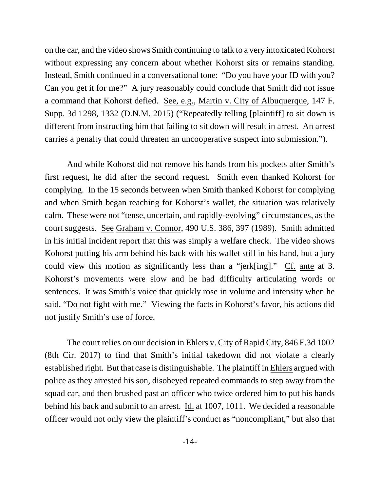on the car, and the video shows Smith continuing to talk to a very intoxicated Kohorst without expressing any concern about whether Kohorst sits or remains standing. Instead, Smith continued in a conversational tone: "Do you have your ID with you? Can you get it for me?" A jury reasonably could conclude that Smith did not issue a command that Kohorst defied. See, e.g., Martin v. City of Albuquerque, 147 F. Supp. 3d 1298, 1332 (D.N.M. 2015) ("Repeatedly telling [plaintiff] to sit down is different from instructing him that failing to sit down will result in arrest. An arrest carries a penalty that could threaten an uncooperative suspect into submission.").

And while Kohorst did not remove his hands from his pockets after Smith's first request, he did after the second request. Smith even thanked Kohorst for complying. In the 15 seconds between when Smith thanked Kohorst for complying and when Smith began reaching for Kohorst's wallet, the situation was relatively calm. These were not "tense, uncertain, and rapidly-evolving" circumstances, as the court suggests. See Graham v. Connor, 490 U.S. 386, 397 (1989). Smith admitted in his initial incident report that this was simply a welfare check. The video shows Kohorst putting his arm behind his back with his wallet still in his hand, but a jury could view this motion as significantly less than a "jerk[ing]." Cf. ante at 3. Kohorst's movements were slow and he had difficulty articulating words or sentences. It was Smith's voice that quickly rose in volume and intensity when he said, "Do not fight with me." Viewing the facts in Kohorst's favor, his actions did not justify Smith's use of force.

The court relies on our decision in Ehlers v. City of Rapid City, 846 F.3d 1002 (8th Cir. 2017) to find that Smith's initial takedown did not violate a clearly established right. But that case is distinguishable. The plaintiff in Ehlers argued with police as they arrested his son, disobeyed repeated commands to step away from the squad car, and then brushed past an officer who twice ordered him to put his hands behind his back and submit to an arrest. Id. at 1007, 1011. We decided a reasonable officer would not only view the plaintiff's conduct as "noncompliant," but also that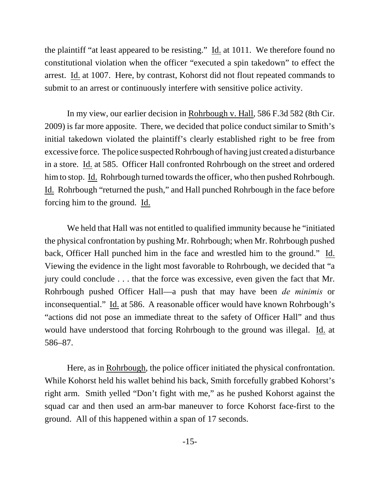the plaintiff "at least appeared to be resisting." Id. at 1011. We therefore found no constitutional violation when the officer "executed a spin takedown" to effect the arrest. Id. at 1007. Here, by contrast, Kohorst did not flout repeated commands to submit to an arrest or continuously interfere with sensitive police activity.

In my view, our earlier decision in Rohrbough v. Hall, 586 F.3d 582 (8th Cir. 2009) is far more apposite. There, we decided that police conduct similar to Smith's initial takedown violated the plaintiff's clearly established right to be free from excessive force. The police suspected Rohrbough of having just created a disturbance in a store. Id. at 585. Officer Hall confronted Rohrbough on the street and ordered him to stop. Id. Rohrbough turned towards the officer, who then pushed Rohrbough. Id. Rohrbough "returned the push," and Hall punched Rohrbough in the face before forcing him to the ground. Id.

We held that Hall was not entitled to qualified immunity because he "initiated the physical confrontation by pushing Mr. Rohrbough; when Mr. Rohrbough pushed back, Officer Hall punched him in the face and wrestled him to the ground." Id. Viewing the evidence in the light most favorable to Rohrbough, we decided that "a jury could conclude . . . that the force was excessive, even given the fact that Mr. Rohrbough pushed Officer Hall—a push that may have been *de minimis* or inconsequential." Id. at 586. A reasonable officer would have known Rohrbough's "actions did not pose an immediate threat to the safety of Officer Hall" and thus would have understood that forcing Rohrbough to the ground was illegal. Id. at 586–87.

Here, as in Rohrbough, the police officer initiated the physical confrontation. While Kohorst held his wallet behind his back, Smith forcefully grabbed Kohorst's right arm. Smith yelled "Don't fight with me," as he pushed Kohorst against the squad car and then used an arm-bar maneuver to force Kohorst face-first to the ground. All of this happened within a span of 17 seconds.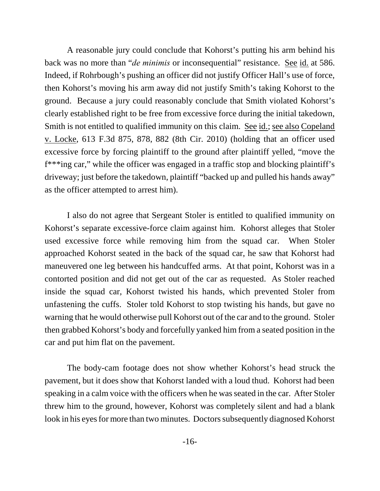A reasonable jury could conclude that Kohorst's putting his arm behind his back was no more than "*de minimis* or inconsequential" resistance. See id. at 586. Indeed, if Rohrbough's pushing an officer did not justify Officer Hall's use of force, then Kohorst's moving his arm away did not justify Smith's taking Kohorst to the ground. Because a jury could reasonably conclude that Smith violated Kohorst's clearly established right to be free from excessive force during the initial takedown, Smith is not entitled to qualified immunity on this claim. See id.; see also Copeland v. Locke, 613 F.3d 875, 878, 882 (8th Cir. 2010) (holding that an officer used excessive force by forcing plaintiff to the ground after plaintiff yelled, "move the f\*\*\*ing car," while the officer was engaged in a traffic stop and blocking plaintiff's driveway; just before the takedown, plaintiff "backed up and pulled his hands away" as the officer attempted to arrest him).

I also do not agree that Sergeant Stoler is entitled to qualified immunity on Kohorst's separate excessive-force claim against him. Kohorst alleges that Stoler used excessive force while removing him from the squad car. When Stoler approached Kohorst seated in the back of the squad car, he saw that Kohorst had maneuvered one leg between his handcuffed arms. At that point, Kohorst was in a contorted position and did not get out of the car as requested. As Stoler reached inside the squad car, Kohorst twisted his hands, which prevented Stoler from unfastening the cuffs. Stoler told Kohorst to stop twisting his hands, but gave no warning that he would otherwise pull Kohorst out of the car and to the ground. Stoler then grabbed Kohorst's body and forcefully yanked him from a seated position in the car and put him flat on the pavement.

The body-cam footage does not show whether Kohorst's head struck the pavement, but it does show that Kohorst landed with a loud thud. Kohorst had been speaking in a calm voice with the officers when he was seated in the car. After Stoler threw him to the ground, however, Kohorst was completely silent and had a blank look in his eyes for more than two minutes. Doctors subsequently diagnosed Kohorst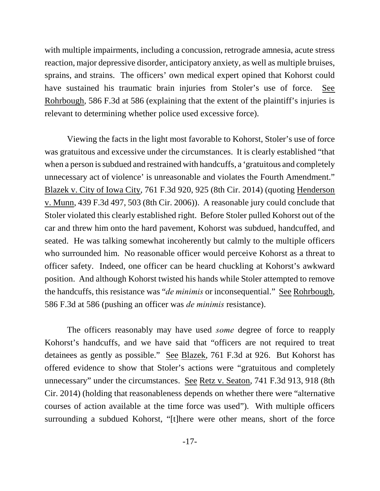with multiple impairments, including a concussion, retrograde amnesia, acute stress reaction, major depressive disorder, anticipatory anxiety, as well as multiple bruises, sprains, and strains. The officers' own medical expert opined that Kohorst could have sustained his traumatic brain injuries from Stoler's use of force. See Rohrbough, 586 F.3d at 586 (explaining that the extent of the plaintiff's injuries is relevant to determining whether police used excessive force).

Viewing the facts in the light most favorable to Kohorst, Stoler's use of force was gratuitous and excessive under the circumstances. It is clearly established "that when a person is subdued and restrained with handcuffs, a 'gratuitous and completely unnecessary act of violence' is unreasonable and violates the Fourth Amendment." Blazek v. City of Iowa City, 761 F.3d 920, 925 (8th Cir. 2014) (quoting Henderson v. Munn, 439 F.3d 497, 503 (8th Cir. 2006)). A reasonable jury could conclude that Stoler violated this clearly established right. Before Stoler pulled Kohorst out of the car and threw him onto the hard pavement, Kohorst was subdued, handcuffed, and seated. He was talking somewhat incoherently but calmly to the multiple officers who surrounded him. No reasonable officer would perceive Kohorst as a threat to officer safety. Indeed, one officer can be heard chuckling at Kohorst's awkward position. And although Kohorst twisted his hands while Stoler attempted to remove the handcuffs, this resistance was "*de minimis* or inconsequential." See Rohrbough, 586 F.3d at 586 (pushing an officer was *de minimis* resistance).

The officers reasonably may have used *some* degree of force to reapply Kohorst's handcuffs, and we have said that "officers are not required to treat detainees as gently as possible." See Blazek, 761 F.3d at 926. But Kohorst has offered evidence to show that Stoler's actions were "gratuitous and completely unnecessary" under the circumstances. See Retz v. Seaton, 741 F.3d 913, 918 (8th Cir. 2014) (holding that reasonableness depends on whether there were "alternative courses of action available at the time force was used"). With multiple officers surrounding a subdued Kohorst, "[t]here were other means, short of the force